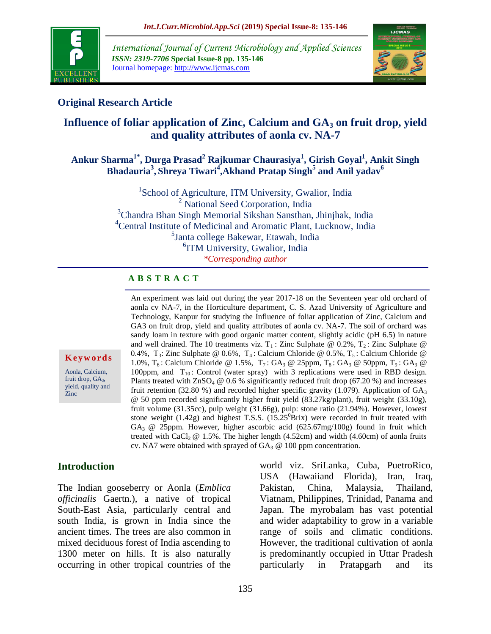

*International Journal of Current Microbiology and Applied Sciences ISSN: 2319-7706* **Special Issue-8 pp. 135-146** Journal homepage: http://www.ijcmas.com



## **Original Research Article**

# **Influence of foliar application of Zinc, Calcium and GA<sup>3</sup> on fruit drop, yield and quality attributes of aonla cv. NA-7**

### **Ankur Sharma1\* , Durga Prasad<sup>2</sup> Rajkumar Chaurasiya<sup>1</sup> , Girish Goyal<sup>1</sup> , Ankit Singh**   $\boldsymbol{\mathrm{B}}$ hadauria<sup>3</sup>, Shreya Tiwari<sup>4</sup>,Akhand Pratap Singh<sup>5</sup> and Anil yadav<sup>6</sup>

<sup>1</sup>School of Agriculture, ITM University, Gwalior, India <sup>2</sup> National Seed Corporation, India <sup>3</sup>Chandra Bhan Singh Memorial Sikshan Sansthan, Jhinjhak, India <sup>4</sup>Central Institute of Medicinal and Aromatic Plant, Lucknow, India <sup>5</sup>Janta college Bakewar, Etawah, India 6 ITM University, Gwalior, India *\*Corresponding author*

#### **A B S T R A C T**

An experiment was laid out during the year 2017-18 on the Seventeen year old orchard of aonla cv NA-7, in the Horticulture department, C. S. Azad University of Agriculture and Technology, Kanpur for studying the Influence of foliar application of Zinc, Calcium and GA3 on fruit drop, yield and quality attributes of aonla cv. NA-7. The soil of orchard was sandy loam in texture with good organic matter content, slightly acidic (pH 6.5) in nature and well drained. The 10 treatments viz.  $T_1$ : Zinc Sulphate @ 0.2%,  $T_2$ : Zinc Sulphate @ 0.4%, T<sub>3</sub>: Zinc Sulphate @ 0.6%, T<sub>4</sub>: Calcium Chloride @ 0.5%, T<sub>5</sub>: Calcium Chloride @ 1.0%,  $T_6$ : Calcium Chloride @ 1.5%,  $T_7$ : GA<sub>3</sub> @ 25ppm,  $T_8$ : GA<sub>3</sub> @ 50ppm,  $T_9$ : GA<sub>3</sub> @ 100ppm, and  $T_{10}$ : Control (water spray) with 3 replications were used in RBD design. Plants treated with  $ZnSO_4 \otimes 0.6$  % significantly reduced fruit drop (67.20 %) and increases fruit retention (32.80 %) and recorded higher specific gravity (1.079). Application of  $GA_3$ @ 50 ppm recorded significantly higher fruit yield (83.27kg/plant), fruit weight (33.10g), fruit volume (31.35cc), pulp weight (31.66g), pulp: stone ratio (21.94%). However, lowest stone weight  $(1.42g)$  and highest T.S.S.  $(15.25^{0}Brix)$  were recorded in fruit treated with GA3 @ 25ppm. However, higher ascorbic acid (625.67mg/100g) found in fruit which treated with CaCl<sub>2</sub>  $@$  1.5%. The higher length (4.52cm) and width (4.60cm) of aonla fruits cv. NA7 were obtained with sprayed of  $GA_3 \tQ 100$  ppm concentration.

#### **K e y w o r d s**

Aonla, Calcium, fruit drop,  $GA<sub>3</sub>$ , yield, quality and Zinc

#### **Introduction**

The Indian gooseberry or Aonla (*Emblica officinalis* Gaertn.), a native of tropical South-East Asia, particularly central and south India, is grown in India since the ancient times. The trees are also common in mixed deciduous forest of India ascending to 1300 meter on hills. It is also naturally occurring in other tropical countries of the

world viz. SriLanka, Cuba, PuetroRico, USA (Hawaiiand Florida), Iran, Iraq, Pakistan, China, Malaysia, Thailand, Viatnam, Philippines, Trinidad, Panama and Japan. The myrobalam has vast potential and wider adaptability to grow in a variable range of soils and climatic conditions. However, the traditional cultivation of aonla is predominantly occupied in Uttar Pradesh particularly in Pratapgarh and its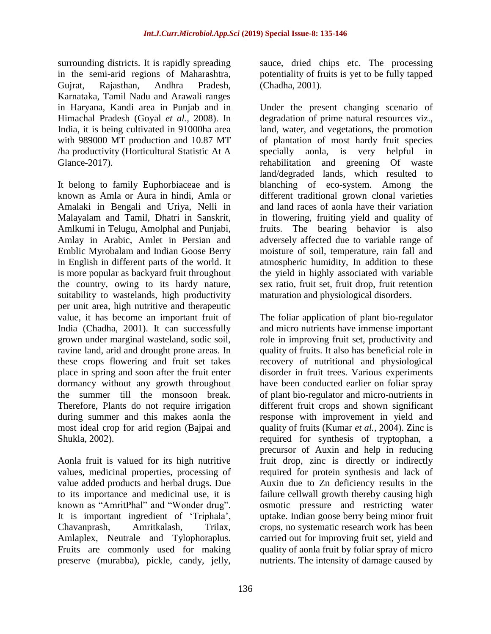surrounding districts. It is rapidly spreading in the semi-arid regions of Maharashtra, Gujrat, Rajasthan, Andhra Pradesh, Karnataka, Tamil Nadu and Arawali ranges in Haryana, Kandi area in Punjab and in Himachal Pradesh (Goyal *et al.*, 2008). In India, it is being cultivated in 91000ha area with 989000 MT production and 10.87 MT /ha productivity (Horticultural Statistic At A Glance-2017).

It belong to family Euphorbiaceae and is known as Amla or Aura in hindi, Amla or Amalaki in Bengali and Uriya, Nelli in Malayalam and Tamil, Dhatri in Sanskrit, Amlkumi in Telugu, Amolphal and Punjabi, Amlay in Arabic, Amlet in Persian and Emblic Myrobalam and Indian Goose Berry in English in different parts of the world. It is more popular as backyard fruit throughout the country, owing to its hardy nature, suitability to wastelands, high productivity per unit area, high nutritive and therapeutic value, it has become an important fruit of India (Chadha, 2001). It can successfully grown under marginal wasteland, sodic soil, ravine land, arid and drought prone areas. In these crops flowering and fruit set takes place in spring and soon after the fruit enter dormancy without any growth throughout the summer till the monsoon break. Therefore, Plants do not require irrigation during summer and this makes aonla the most ideal crop for arid region (Bajpai and Shukla, 2002).

Aonla fruit is valued for its high nutritive values, medicinal properties, processing of value added products and herbal drugs. Due to its importance and medicinal use, it is known as "AmritPhal" and "Wonder drug". It is important ingredient of "Triphala", Chavanprash, Amritkalash, Trilax, Amlaplex, Neutrale and Tylophoraplus. Fruits are commonly used for making preserve (murabba), pickle, candy, jelly,

sauce, dried chips etc. The processing potentiality of fruits is yet to be fully tapped (Chadha, 2001).

Under the present changing scenario of degradation of prime natural resources viz., land, water, and vegetations, the promotion of plantation of most hardy fruit species specially aonla, is very helpful in rehabilitation and greening Of waste land/degraded lands, which resulted to blanching of eco-system. Among the different traditional grown clonal varieties and land races of aonla have their variation in flowering, fruiting yield and quality of fruits. The bearing behavior is also adversely affected due to variable range of moisture of soil, temperature, rain fall and atmospheric humidity, In addition to these the yield in highly associated with variable sex ratio, fruit set, fruit drop, fruit retention maturation and physiological disorders.

The foliar application of plant bio-regulator and micro nutrients have immense important role in improving fruit set, productivity and quality of fruits. It also has beneficial role in recovery of nutritional and physiological disorder in fruit trees. Various experiments have been conducted earlier on foliar spray of plant bio-regulator and micro-nutrients in different fruit crops and shown significant response with improvement in yield and quality of fruits (Kumar *et al.,* 2004). Zinc is required for synthesis of tryptophan, a precursor of Auxin and help in reducing fruit drop, zinc is directly or indirectly required for protein synthesis and lack of Auxin due to Zn deficiency results in the failure cellwall growth thereby causing high osmotic pressure and restricting water uptake. Indian goose berry being minor fruit crops, no systematic research work has been carried out for improving fruit set, yield and quality of aonla fruit by foliar spray of micro nutrients. The intensity of damage caused by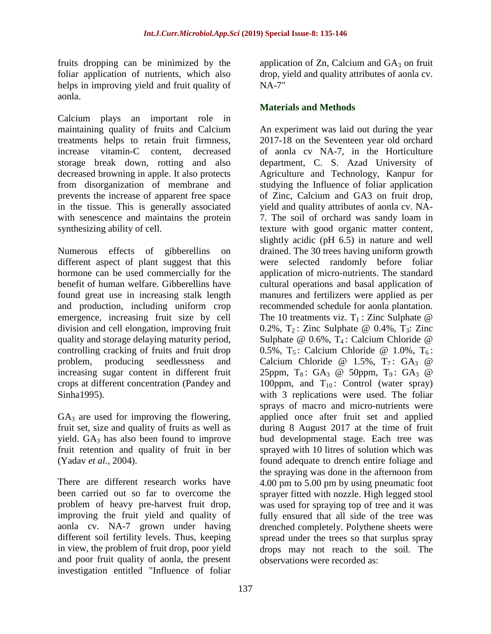fruits dropping can be minimized by the foliar application of nutrients, which also helps in improving yield and fruit quality of aonla.

Calcium plays an important role in maintaining quality of fruits and Calcium treatments helps to retain fruit firmness, increase vitamin-C content, decreased storage break down, rotting and also decreased browning in apple. It also protects from disorganization of membrane and prevents the increase of apparent free space in the tissue. This is generally associated with senescence and maintains the protein synthesizing ability of cell.

Numerous effects of gibberellins on different aspect of plant suggest that this hormone can be used commercially for the benefit of human welfare. Gibberellins have found great use in increasing stalk length and production, including uniform crop emergence, increasing fruit size by cell division and cell elongation, improving fruit quality and storage delaying maturity period, controlling cracking of fruits and fruit drop<br>problem, producing seedlessness and problem, producing seedlessness and increasing sugar content in different fruit crops at different concentration (Pandey and Sinha1995).

 $GA<sub>3</sub>$  are used for improving the flowering, fruit set, size and quality of fruits as well as yield.  $GA_3$  has also been found to improve fruit retention and quality of fruit in ber (Yadav *et al.,* 2004).

There are different research works have been carried out so far to overcome the problem of heavy pre-harvest fruit drop, improving the fruit yield and quality of aonla cv. NA-7 grown under having different soil fertility levels. Thus, keeping in view, the problem of fruit drop, poor yield and poor fruit quality of aonla, the present investigation entitled "Influence of foliar

application of  $Zn$ , Calcium and  $GA<sub>3</sub>$  on fruit drop, yield and quality attributes of aonla cv. NA-7"

#### **Materials and Methods**

An experiment was laid out during the year 2017-18 on the Seventeen year old orchard of aonla cv NA-7, in the Horticulture department, C. S. Azad University of Agriculture and Technology, Kanpur for studying the Influence of foliar application of Zinc, Calcium and GA3 on fruit drop, yield and quality attributes of aonla cv. NA-7. The soil of orchard was sandy loam in texture with good organic matter content, slightly acidic (pH 6.5) in nature and well drained. The 30 trees having uniform growth were selected randomly before foliar application of micro-nutrients. The standard cultural operations and basal application of manures and fertilizers were applied as per recommended schedule for aonla plantation. The 10 treatments viz.  $T_1$ : Zinc Sulphate @ 0.2%,  $T_2$ : Zinc Sulphate @ 0.4%,  $T_3$ : Zinc Sulphate  $@$  0.6%,  $T_4$ : Calcium Chloride  $@$ 0.5%,  $T_5$ : Calcium Chloride @ 1.0%,  $T_6$ : Calcium Chloride @ 1.5%,  $T_7$ : GA<sub>3</sub> @ 25ppm,  $T_8$ : GA<sub>3</sub> @ 50ppm,  $T_9$ : GA<sub>3</sub> @ 100ppm, and  $T_{10}$ : Control (water spray) with 3 replications were used. The foliar sprays of macro and micro-nutrients were applied once after fruit set and applied during 8 August 2017 at the time of fruit bud developmental stage. Each tree was sprayed with 10 litres of solution which was found adequate to drench entire foliage and the spraying was done in the afternoon from 4.00 pm to 5.00 pm by using pneumatic foot sprayer fitted with nozzle. High legged stool was used for spraying top of tree and it was fully ensured that all side of the tree was drenched completely. Polythene sheets were spread under the trees so that surplus spray drops may not reach to the soil. The observations were recorded as: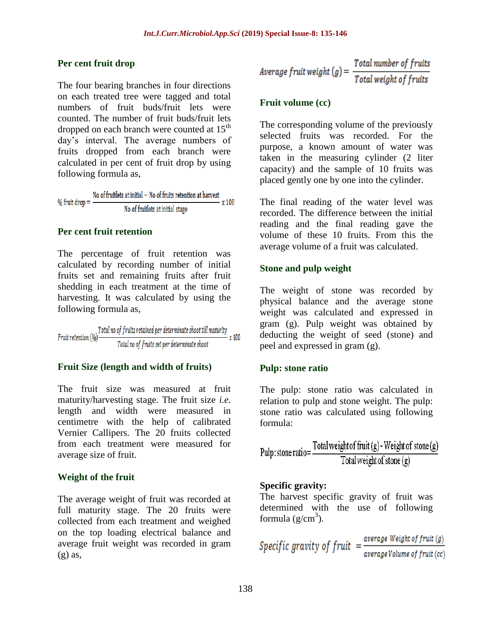#### **Per cent fruit drop**

The four bearing branches in four directions on each treated tree were tagged and total numbers of fruit buds/fruit lets were counted. The number of fruit buds/fruit lets dropped on each branch were counted at  $15<sup>th</sup>$ day"s interval. The average numbers of fruits dropped from each branch were calculated in per cent of fruit drop by using following formula as,

No of fruitlets at initial  $-$  No of fruits retention at harvest % fruit drop  $=$   $\frac{1}{2}$  $- x 100$ No of fruitlets at initial stage

#### **Per cent fruit retention**

The percentage of fruit retention was calculated by recording number of initial fruits set and remaining fruits after fruit shedding in each treatment at the time of harvesting. It was calculated by using the following formula as,

Fruit retention  $\left(\%)$   $\frac{Total\ no\ of\ fruits\ retained\ per\ determinate\ shoot\ till\ maturity}{Total\ no\ of\ fruits\ set\ per\ determinate\ shoot}$  x 100

#### **Fruit Size (length and width of fruits)**

The fruit size was measured at fruit maturity/harvesting stage. The fruit size *i.e.* length and width were measured in centimetre with the help of calibrated Vernier Callipers. The 20 fruits collected from each treatment were measured for average size of fruit.

### **Weight of the fruit**

The average weight of fruit was recorded at full maturity stage. The 20 fruits were collected from each treatment and weighed on the top loading electrical balance and average fruit weight was recorded in gram  $(g)$  as,

$$
Average \, fruit \, weight \, (g) = \frac{Total \, number \, of \, fruits}{Total \, weight \, of \, fruits}
$$

#### **Fruit volume (cc)**

The corresponding volume of the previously selected fruits was recorded. For the purpose, a known amount of water was taken in the measuring cylinder (2 liter capacity) and the sample of 10 fruits was placed gently one by one into the cylinder.

The final reading of the water level was recorded. The difference between the initial reading and the final reading gave the volume of these 10 fruits. From this the average volume of a fruit was calculated.

### **Stone and pulp weight**

The weight of stone was recorded by physical balance and the average stone weight was calculated and expressed in gram (g). Pulp weight was obtained by deducting the weight of seed (stone) and peel and expressed in gram (g).

### **Pulp: stone ratio**

The pulp: stone ratio was calculated in relation to pulp and stone weight. The pulp: stone ratio was calculated using following formula:

$$
Pulp: stone ratio = \frac{Total weight of fruit(g) - Weight of stone(g)}{Total weight of stone(g)}
$$

#### **Specific gravity:**

The harvest specific gravity of fruit was determined with the use of following formula  $(g/cm^3)$ .

*Specific gravity of fruit* = 
$$
\frac{average Weight of fruit(g)}{average Volume of fruit(cc)}
$$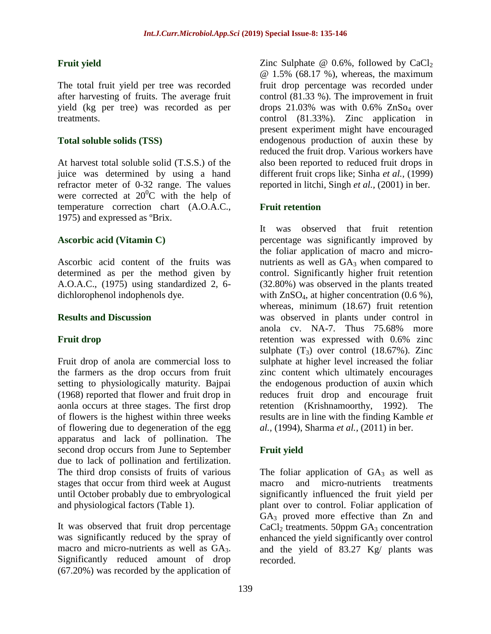### **Fruit yield**

The total fruit yield per tree was recorded after harvesting of fruits. The average fruit yield (kg per tree) was recorded as per treatments.

#### **Total soluble solids (TSS)**

At harvest total soluble solid (T.S.S.) of the juice was determined by using a hand refractor meter of 0-32 range. The values were corrected at  $20^0$ C with the help of temperature correction chart (A.O.A.C., 1975) and expressed as ºBrix.

### **Ascorbic acid (Vitamin C)**

Ascorbic acid content of the fruits was determined as per the method given by A.O.A.C., (1975) using standardized 2, 6 dichlorophenol indophenols dye.

#### **Results and Discussion**

### **Fruit drop**

Fruit drop of anola are commercial loss to the farmers as the drop occurs from fruit setting to physiologically maturity. Bajpai (1968) reported that flower and fruit drop in aonla occurs at three stages. The first drop of flowers is the highest within three weeks of flowering due to degeneration of the egg apparatus and lack of pollination. The second drop occurs from June to September due to lack of pollination and fertilization. The third drop consists of fruits of various stages that occur from third week at August until October probably due to embryological and physiological factors (Table 1).

It was observed that fruit drop percentage was significantly reduced by the spray of macro and micro-nutrients as well as GA<sub>3</sub>. Significantly reduced amount of drop (67.20%) was recorded by the application of

Zinc Sulphate  $\omega$  0.6%, followed by CaCl<sub>2</sub> @ 1.5% (68.17 %), whereas, the maximum fruit drop percentage was recorded under control (81.33 %). The improvement in fruit drops  $21.03\%$  was with  $0.6\%$  ZnS $o<sub>4</sub>$  over control (81.33%). Zinc application in present experiment might have encouraged endogenous production of auxin these by reduced the fruit drop. Various workers have also been reported to reduced fruit drops in different fruit crops like; Sinha *et al.,* (1999) reported in litchi, Singh *et al.,* (2001) in ber.

### **Fruit retention**

It was observed that fruit retention percentage was significantly improved by the foliar application of macro and micronutrients as well as  $GA_3$  when compared to control. Significantly higher fruit retention (32.80%) was observed in the plants treated with  $ZnSO<sub>4</sub>$ , at higher concentration  $(0.6\%)$ , whereas, minimum (18.67) fruit retention was observed in plants under control in anola cv. NA-7. Thus 75.68% more retention was expressed with 0.6% zinc sulphate  $(T_3)$  over control (18.67%). Zinc sulphate at higher level increased the foliar zinc content which ultimately encourages the endogenous production of auxin which reduces fruit drop and encourage fruit retention (Krishnamoorthy, 1992). The results are in line with the finding Kamble *et al.,* (1994), Sharma *et al.,* (2011) in ber.

### **Fruit yield**

The foliar application of  $GA_3$  as well as macro and micro-nutrients treatments significantly influenced the fruit yield per plant over to control. Foliar application of  $GA<sub>3</sub>$  proved more effective than Zn and  $CaCl<sub>2</sub>$  treatments. 50ppm  $GA<sub>3</sub>$  concentration enhanced the yield significantly over control and the yield of 83.27 Kg/ plants was recorded.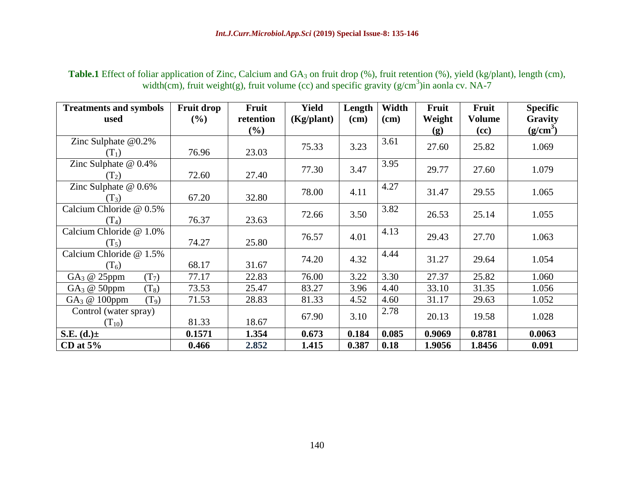| <b>Treatments and symbols</b><br>used | <b>Fruit drop</b><br>(%) | Fruit<br>retention | <b>Yield</b><br>(Kg/plant) | Length<br>$(cm)$ | Width<br>$(cm)$ | Fruit<br>Weight | Fruit<br><b>Volume</b> | <b>Specific</b><br>Gravity |
|---------------------------------------|--------------------------|--------------------|----------------------------|------------------|-----------------|-----------------|------------------------|----------------------------|
|                                       |                          | $(\%)$             |                            |                  |                 | (g)             | (cc)                   | $(g/cm^3)$                 |
| Zinc Sulphate $@0.2\%$<br>$(T_1)$     | 76.96                    | 23.03              | 75.33                      | 3.23             | 3.61            | 27.60           | 25.82                  | 1.069                      |
| Zinc Sulphate $@$ 0.4%                |                          |                    |                            |                  | 3.95            |                 |                        |                            |
| $(T_2)$                               | 72.60                    | 27.40              | 77.30                      | 3.47             |                 | 29.77           | 27.60                  | 1.079                      |
| Zinc Sulphate $@$ 0.6%                |                          |                    | 78.00                      | 4.11             | 4.27            | 31.47           | 29.55                  | 1.065                      |
| $(T_3)$                               | 67.20                    | 32.80              |                            |                  |                 |                 |                        |                            |
| Calcium Chloride @ 0.5%               |                          |                    |                            |                  | 3.82            |                 |                        |                            |
| $(T_4)$                               | 76.37                    | 23.63              | 72.66                      | 3.50             |                 | 26.53           | 25.14                  | 1.055                      |
| Calcium Chloride @ 1.0%               |                          |                    |                            |                  | 4.13            |                 |                        |                            |
| $(T_5)$                               | 74.27                    | 25.80              | 76.57                      | 4.01             |                 | 29.43           | 27.70                  | 1.063                      |
| Calcium Chloride @ 1.5%               |                          |                    |                            |                  | 4.44            |                 |                        |                            |
| $(T_6)$                               | 68.17                    | 31.67              | 74.20                      | 4.32             |                 | 31.27           | 29.64                  | 1.054                      |
| (T <sub>7</sub> )<br>$GA_3 @ 25 ppm$  | 77.17                    | 22.83              | 76.00                      | 3.22             | 3.30            | 27.37           | 25.82                  | 1.060                      |
| $GA_3 \t@ 50$ ppm<br>$(T_8)$          | 73.53                    | 25.47              | 83.27                      | 3.96             | 4.40            | 33.10           | 31.35                  | 1.056                      |
| GA <sub>3</sub> @ 100ppm<br>$(T_9)$   | 71.53                    | 28.83              | 81.33                      | 4.52             | 4.60            | 31.17           | 29.63                  | 1.052                      |
| Control (water spray)                 |                          |                    |                            |                  | 2.78            |                 |                        |                            |
| $(T_{10})$                            | 81.33                    | 18.67              | 67.90                      | 3.10             |                 | 20.13           | 19.58                  | 1.028                      |
| S.E. $(d.)\pm$                        | 0.1571                   | 1.354              | 0.673                      | 0.184            | 0.085           | 0.9069          | 0.8781                 | 0.0063                     |
| CD at $5\%$                           | 0.466                    | 2.852              | 1.415                      | 0.387            | 0.18            | 1.9056          | 1.8456                 | 0.091                      |

Table.1 Effect of foliar application of Zinc, Calcium and GA<sub>3</sub> on fruit drop (%), fruit retention (%), yield (kg/plant), length (cm), width(cm), fruit weight(g), fruit volume (cc) and specific gravity ( $g/cm<sup>3</sup>$ )in aonla cv. NA-7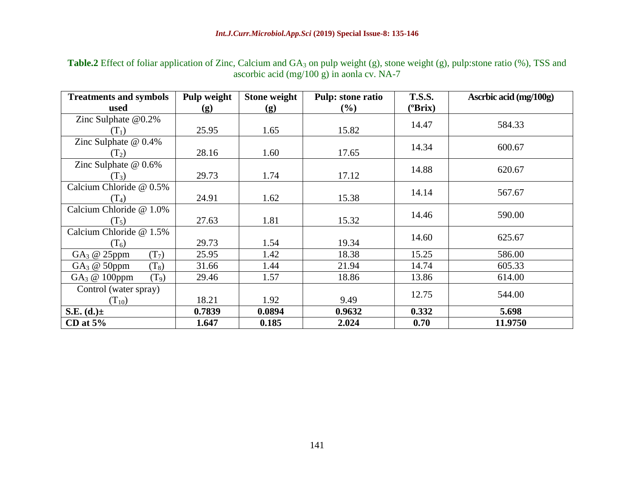Table.2 Effect of foliar application of Zinc, Calcium and GA<sub>3</sub> on pulp weight (g), stone weight (g), pulp:stone ratio (%), TSS and ascorbic acid (mg/100 g) in aonla cv. NA-7

| <b>Treatments and symbols</b>                | Pulp weight | <b>Stone weight</b> | <b>Pulp: stone ratio</b> | <b>T.S.S.</b>     | Ascrbic acid (mg/100g) |  |
|----------------------------------------------|-------------|---------------------|--------------------------|-------------------|------------------------|--|
| used                                         | (g)         | (g)                 | $(\% )$                  | $(^o\text{Brix})$ |                        |  |
| Zinc Sulphate $@0.2\%$                       |             |                     |                          | 14.47             | 584.33                 |  |
| $(T_1)$                                      | 25.95       | 1.65                | 15.82                    |                   |                        |  |
| Zinc Sulphate $@$ 0.4%                       |             |                     |                          | 14.34             | 600.67                 |  |
| $(T_2)$                                      | 28.16       | 1.60                | 17.65                    |                   |                        |  |
| Zinc Sulphate $@$ 0.6%                       |             |                     |                          | 14.88             | 620.67                 |  |
| $(T_3)$                                      | 29.73       | 1.74                | 17.12                    |                   |                        |  |
| Calcium Chloride @ 0.5%                      |             |                     |                          | 14.14             | 567.67                 |  |
| $(T_4)$                                      | 24.91       | 1.62                | 15.38                    |                   |                        |  |
| Calcium Chloride @ 1.0%                      |             |                     |                          | 14.46             | 590.00                 |  |
| $(T_5)$                                      | 27.63       | 1.81                | 15.32                    |                   |                        |  |
| Calcium Chloride @ 1.5%                      |             |                     |                          | 14.60             | 625.67                 |  |
| $(T_6)$                                      | 29.73       | 1.54                | 19.34                    |                   |                        |  |
| GA <sub>3</sub> @ 25ppm<br>(T <sub>7</sub> ) | 25.95       | 1.42                | 18.38                    | 15.25             | 586.00                 |  |
| $(T_8)$<br>$GA_3 \t@ 50$ ppm                 | 31.66       | 1.44                | 21.94                    | 14.74             | 605.33                 |  |
| GA <sub>3</sub> @ 100ppm<br>$(T_9)$          | 29.46       | 1.57                | 18.86                    | 13.86             | 614.00                 |  |
| Control (water spray)                        |             |                     |                          | 12.75             | 544.00                 |  |
| $(T_{10})$                                   | 18.21       | 1.92                | 9.49                     |                   |                        |  |
| S.E. $(d.)\pm$                               | 0.7839      | 0.0894              | 0.9632                   | 0.332             | 5.698                  |  |
| CD at $5%$                                   | 1.647       | 0.185               | 2.024                    | 0.70              | 11.9750                |  |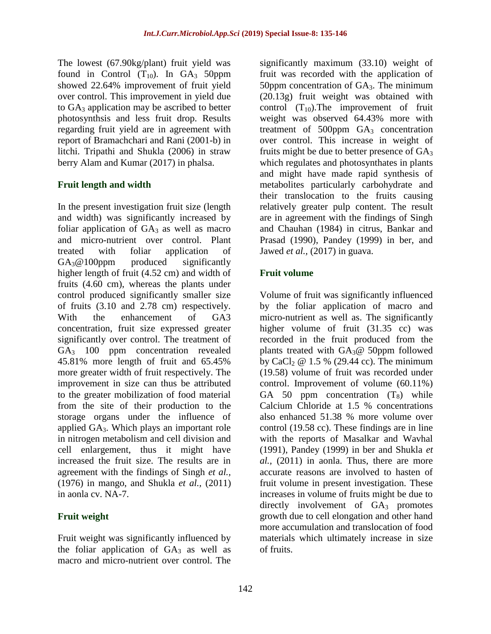The lowest (67.90kg/plant) fruit yield was found in Control  $(T_{10})$ . In  $GA_3$  50ppm showed 22.64% improvement of fruit yield over control. This improvement in yield due to  $GA_3$  application may be ascribed to better photosynthsis and less fruit drop. Results regarding fruit yield are in agreement with report of Bramachchari and Rani (2001-b) in litchi. Tripathi and Shukla (2006) in straw berry Alam and Kumar (2017) in phalsa.

### **Fruit length and width**

In the present investigation fruit size (length and width) was significantly increased by foliar application of  $GA_3$  as well as macro and micro-nutrient over control. Plant treated with foliar application of  $GA_3@100$ ppm produced significantly higher length of fruit (4.52 cm) and width of fruits (4.60 cm), whereas the plants under control produced significantly smaller size of fruits (3.10 and 2.78 cm) respectively. With the enhancement of GA3 concentration, fruit size expressed greater significantly over control. The treatment of GA<sub>3</sub> 100 ppm concentration revealed 45.81% more length of fruit and 65.45% more greater width of fruit respectively. The improvement in size can thus be attributed to the greater mobilization of food material from the site of their production to the storage organs under the influence of applied GA3. Which plays an important role in nitrogen metabolism and cell division and cell enlargement, thus it might have increased the fruit size. The results are in agreement with the findings of Singh *et al.,*  (1976) in mango, and Shukla *et al.,* (2011) in aonla cv. NA-7.

### **Fruit weight**

Fruit weight was significantly influenced by the foliar application of  $GA_3$  as well as macro and micro-nutrient over control. The significantly maximum (33.10) weight of fruit was recorded with the application of 50ppm concentration of  $GA<sub>3</sub>$ . The minimum (20.13g) fruit weight was obtained with control  $(T_{10})$ . The improvement of fruit weight was observed 64.43% more with treatment of  $500$ ppm  $GA<sub>3</sub>$  concentration over control. This increase in weight of fruits might be due to better presence of  $GA<sub>3</sub>$ which regulates and photosynthates in plants and might have made rapid synthesis of metabolites particularly carbohydrate and their translocation to the fruits causing relatively greater pulp content. The result are in agreement with the findings of Singh and Chauhan (1984) in citrus, Bankar and Prasad (1990), Pandey (1999) in ber, and Jawed *et al.,* (2017) in guava.

## **Fruit volume**

Volume of fruit was significantly influenced by the foliar application of macro and micro-nutrient as well as. The significantly higher volume of fruit (31.35 cc) was recorded in the fruit produced from the plants treated with  $GA_3@$  50ppm followed by CaCl<sub>2</sub>  $\omega$  1.5 % (29.44 cc). The minimum (19.58) volume of fruit was recorded under control. Improvement of volume (60.11%) GA 50 ppm concentration  $(T_8)$  while Calcium Chloride at 1.5 % concentrations also enhanced 51.38 % more volume over control (19.58 cc). These findings are in line with the reports of Masalkar and Wavhal (1991), Pandey (1999) in ber and Shukla *et al.,* (2011) in aonla. Thus, there are more accurate reasons are involved to hasten of fruit volume in present investigation. These increases in volume of fruits might be due to directly involvement of  $GA<sub>3</sub>$  promotes growth due to cell elongation and other hand more accumulation and translocation of food materials which ultimately increase in size of fruits.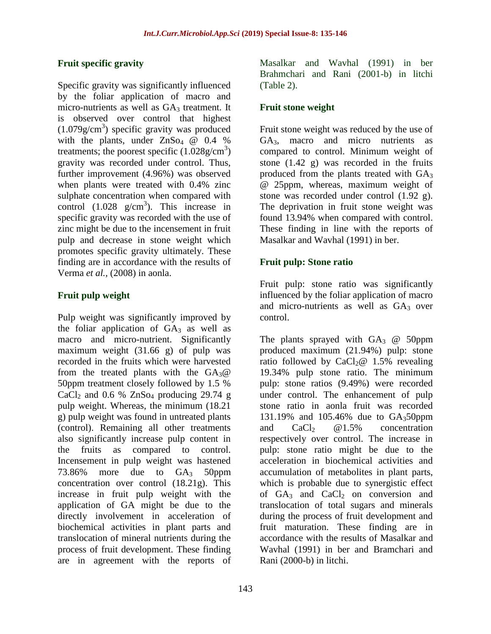#### **Fruit specific gravity**

Specific gravity was significantly influenced by the foliar application of macro and micro-nutrients as well as  $GA_3$  treatment. It is observed over control that highest  $(1.079g/cm<sup>3</sup>)$  specific gravity was produced with the plants, under  $ZnSo_4 \quad \textcircled{a} \quad 0.4 \quad \textcircled{b}$ treatments; the poorest specific  $(1.028 \text{g/cm}^3)$ gravity was recorded under control. Thus, further improvement (4.96%) was observed when plants were treated with 0.4% zinc sulphate concentration when compared with control  $(1.028 \text{ g/cm}^3)$ . This increase in specific gravity was recorded with the use of zinc might be due to the incensement in fruit pulp and decrease in stone weight which promotes specific gravity ultimately. These finding are in accordance with the results of Verma *et al.,* (2008) in aonla.

### **Fruit pulp weight**

Pulp weight was significantly improved by the foliar application of  $GA_3$  as well as macro and micro-nutrient. Significantly maximum weight (31.66 g) of pulp was recorded in the fruits which were harvested from the treated plants with the  $GA_3@$ 50ppm treatment closely followed by 1.5 % CaCl<sub>2</sub> and 0.6 % ZnS<sub>O4</sub> producing 29.74 g pulp weight. Whereas, the minimum (18.21 g) pulp weight was found in untreated plants (control). Remaining all other treatments also significantly increase pulp content in the fruits as compared to control. Incensement in pulp weight was hastened 73.86% more due to  $GA_3$  50ppm concentration over control (18.21g). This increase in fruit pulp weight with the application of GA might be due to the directly involvement in acceleration of biochemical activities in plant parts and translocation of mineral nutrients during the process of fruit development. These finding are in agreement with the reports of

Masalkar and Wavhal (1991) in ber Brahmchari and Rani (2001-b) in litchi (Table 2).

### **Fruit stone weight**

Fruit stone weight was reduced by the use of GA3, macro and micro nutrients as compared to control. Minimum weight of stone (1.42 g) was recorded in the fruits produced from the plants treated with  $GA<sub>3</sub>$ @ 25ppm, whereas, maximum weight of stone was recorded under control (1.92 g). The deprivation in fruit stone weight was found 13.94% when compared with control. These finding in line with the reports of Masalkar and Wavhal (1991) in ber.

### **Fruit pulp: Stone ratio**

Fruit pulp: stone ratio was significantly influenced by the foliar application of macro and micro-nutrients as well as  $GA<sub>3</sub>$  over control.

The plants sprayed with  $GA_3$  @ 50ppm produced maximum (21.94%) pulp: stone ratio followed by  $CaCl<sub>2</sub>@ 1.5%$  revealing 19.34% pulp stone ratio. The minimum pulp: stone ratios (9.49%) were recorded under control. The enhancement of pulp stone ratio in aonla fruit was recorded 131.19% and 105.46% due to GA350ppm and  $CaCl<sub>2</sub>$  @1.5% concentration respectively over control. The increase in pulp: stone ratio might be due to the acceleration in biochemical activities and accumulation of metabolites in plant parts, which is probable due to synergistic effect of  $GA_3$  and  $CaCl_2$  on conversion and translocation of total sugars and minerals during the process of fruit development and fruit maturation. These finding are in accordance with the results of Masalkar and Wavhal (1991) in ber and Bramchari and Rani (2000-b) in litchi.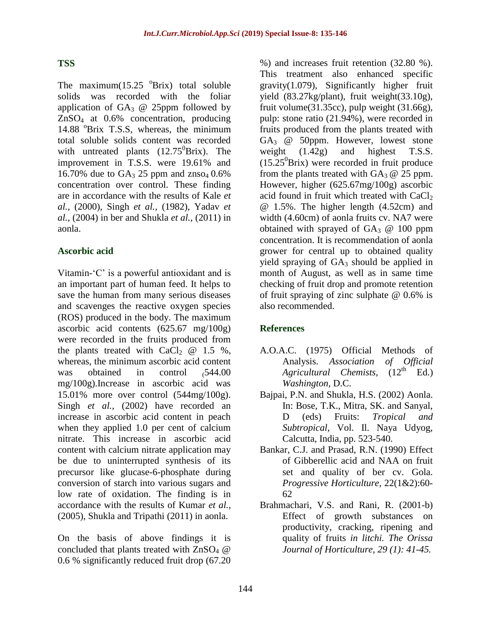#### **TSS**

The maximum $(15.25 \text{ °Brix})$  total soluble solids was recorded with the foliar application of  $GA_3$  @ 25ppm followed by ZnSO<sup>4</sup> at 0.6% concentration, producing 14.88 <sup>o</sup>Brix T.S.S, whereas, the minimum total soluble solids content was recorded with untreated plants  $(12.75^0Brix)$ . The improvement in T.S.S. were 19.61% and 16.70% due to  $GA_3$  25 ppm and znso<sub>4</sub> 0.6% concentration over control. These finding are in accordance with the results of Kale *et al.,* (2000), Singh *et al.,* (1982), Yadav *et al.,* (2004) in ber and Shukla *et al.,* (2011) in aonla.

#### **Ascorbic acid**

Vitamin- $^{\circ}$ C' is a powerful antioxidant and is an important part of human feed. It helps to save the human from many serious diseases and scavenges the reactive oxygen species (ROS) produced in the body. The maximum ascorbic acid contents (625.67 mg/100g) were recorded in the fruits produced from the plants treated with  $CaCl<sub>2</sub> @ 1.5 %$ , whereas, the minimum ascorbic acid content was obtained in control  $,544.00$ mg/100g).Increase in ascorbic acid was 15.01% more over control (544mg/100g). Singh *et al.,* (2002) have recorded an increase in ascorbic acid content in peach when they applied 1.0 per cent of calcium nitrate. This increase in ascorbic acid content with calcium nitrate application may be due to uninterrupted synthesis of its precursor like glucase-6-phosphate during conversion of starch into various sugars and low rate of oxidation. The finding is in accordance with the results of Kumar *et al.,*  (2005), Shukla and Tripathi (2011) in aonla.

On the basis of above findings it is concluded that plants treated with  $\text{ZnSO}_4$  @ 0.6 % significantly reduced fruit drop (67.20 %) and increases fruit retention (32.80 %). This treatment also enhanced specific gravity(1.079), Significantly higher fruit yield (83.27kg/plant), fruit weight(33.10g), fruit volume $(31.35cc)$ , pulp weight  $(31.66g)$ , pulp: stone ratio (21.94%), were recorded in fruits produced from the plants treated with  $GA<sub>3</sub>$  @ 50ppm. However, lowest stone weight (1.42g) and highest T.S.S.  $(15.25^{\circ}B$ rix) were recorded in fruit produce from the plants treated with  $GA_3 \tQ 25$  ppm. However, higher (625.67mg/100g) ascorbic acid found in fruit which treated with  $CaCl<sub>2</sub>$ @ 1.5%. The higher length (4.52cm) and width (4.60cm) of aonla fruits cv. NA7 were obtained with sprayed of  $GA_3$  @ 100 ppm concentration. It is recommendation of aonla grower for central up to obtained quality yield spraying of  $GA_3$  should be applied in month of August, as well as in same time checking of fruit drop and promote retention of fruit spraying of zinc sulphate @ 0.6% is also recommended.

### **References**

- A.O.A.C. (1975) Official Methods of Analysis. *Association of Official*   $Agricultural$  *Chemists, Washington,* D.C.
- Bajpai, P.N. and Shukla, H.S. (2002) Aonla. In: Bose, T.K., Mitra, SK. and Sanyal, D (eds) Fruits: *Tropical and Subtropical,* Vol. Il. Naya Udyog, Calcutta, India, pp. 523-540.
- Bankar, C.J. and Prasad, R.N. (1990) Effect of Gibberellic acid and NAA on fruit set and quality of ber cv. Gola. *Progressive Horticulture,* 22(1&2):60- 62
- Brahmachari, V.S. and Rani, R. (2001-b) Effect of growth substances on productivity, cracking, ripening and quality of fruits *in litchi. The Orissa Journal of Horticulture, 29 (1): 41-45.*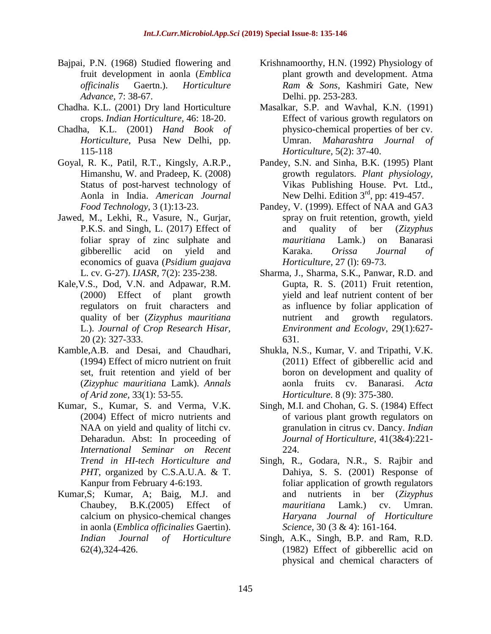- Bajpai, P.N. (1968) Studied flowering and fruit development in aonla (*Emblica officinalis* Gaertn.). *Horticulture Advance,* 7: 38-67.
- Chadha. K.L. (2001) Dry land Horticulture crops. *Indian Horticulture,* 46: 18-20.
- Chadha, K.L. (2001) *Hand Book of Horticulture*, Pusa New Delhi, pp. 115-118
- Goyal, R. K., Patil, R.T., Kingsly, A.R.P., Himanshu, W. and Pradeep, K. (2008) Status of post-harvest technology of Aonla in India. *American Journal Food Technology,* 3 (1):13-23.
- Jawed, M., Lekhi, R., Vasure, N., Gurjar, P.K.S. and Singh, L. (2017) Effect of foliar spray of zinc sulphate and gibberellic acid on yield and economics of guava (*Psidium guajava* L. cv. G-27). *IJASR,* 7(2): 235-238.
- Kale,V.S., Dod, V.N. and Adpawar, R.M. (2000) Effect of plant growth regulators on fruit characters and quality of ber (*Zizyphus mauritiana* L.). *Journal of Crop Research Hisar,*  20 (2): 327-333.
- Kamble,A.B. and Desai, and Chaudhari, (1994) Effect of micro nutrient on fruit set, fruit retention and yield of ber (*Zizyphuc mauritiana* Lamk). *Annals of Arid zone,* 33(1): 53-55.
- Kumar, S., Kumar, S. and Verma, V.K. (2004) Effect of micro nutrients and NAA on yield and quality of litchi cv. Deharadun. Abst: In proceeding of *International Seminar on Recent Trend in HI-tech Horticulture and PHT,* organized by C.S.A.U.A. & T. Kanpur from February 4-6:193.
- Kumar,S; Kumar, A; Baig, M.J. and Chaubey, B.K.(2005) Effect of calcium on physico-chemical changes in aonla (*Emblica officinalies* Gaertin). *Indian Journal of Horticulture* 62(4),324-426.
- Krishnamoorthy, H.N. (1992) Physiology of plant growth and development. Atma *Ram & Sons*, Kashmiri Gate, New Delhi. pp. 253-283.
- Masalkar, S.P. and Wavhal, K.N. (1991) Effect of various growth regulators on physico-chemical properties of ber cv. Umran. *Maharashtra Journal of Horticulture,* 5(2): 37-40.
- Pandey, S.N. and Sinha, B.K. (1995) Plant growth regulators. *Plant physiology,* Vikas Publishing House. Pvt. Ltd., New Delhi. Edition  $3<sup>rd</sup>$ , pp: 419-457.
- Pandey, V. (1999). Effect of NAA and GA3 spray on fruit retention, growth, yield and quality of ber (*Zizyphus mauritiana* Lamk.) on Banarasi Karaka. *Orissa Journal of Horticulture,* 27 (l): 69-73.
- Sharma, J., Sharma, S.K., Panwar, R.D. and Gupta, R. S. (2011) Fruit retention, yield and leaf nutrient content of ber as influence by foliar application of nutrient and growth regulators. *Environment and Ecologv*, 29(1):627- 631.
- Shukla, N.S., Kumar, V. and Tripathi, V.K. (2011) Effect of gibberellic acid and boron on development and quality of aonla fruits cv. Banarasi. *Acta Horticulture.* 8 (9): 375-380.
- Singh, M.I. and Chohan, G. S. (1984) Effect of various plant growth regulators on granulation in citrus cv. Dancy. *Indian Journal of Horticulture*, 41(3&4):221- 224.
- Singh, R., Godara, N.R., S. Rajbir and Dahiya, S. S. (2001) Response of foliar application of growth regulators and nutrients in ber (*Zizyphus mauritiana* Lamk.) cv. Umran. *Haryana Journal of Horticulture Science*, 30 (3 & 4): 161-164.
- Singh, A.K., Singh, B.P. and Ram, R.D. (1982) Effect of gibberellic acid on physical and chemical characters of